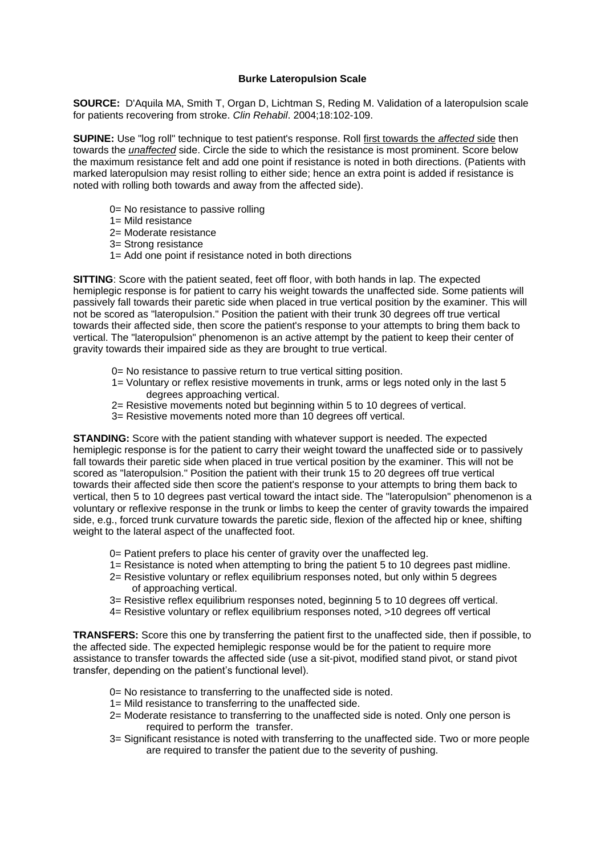## **Burke Lateropulsion Scale**

**SOURCE:** D'Aquila MA, Smith T, Organ D, Lichtman S, Reding M. Validation of a lateropulsion scale for patients recovering from stroke. *Clin Rehabil*. 2004;18:102-109.

**SUPINE:** Use "log roll" technique to test patient's response. Roll first towards the *affected* side then towards the *unaffected* side. Circle the side to which the resistance is most prominent. Score below the maximum resistance felt and add one point if resistance is noted in both directions. (Patients with marked lateropulsion may resist rolling to either side; hence an extra point is added if resistance is noted with rolling both towards and away from the affected side).

- 0= No resistance to passive rolling
- 1= Mild resistance
- 2= Moderate resistance
- 3= Strong resistance
- 1= Add one point if resistance noted in both directions

**SITTING**: Score with the patient seated, feet off floor, with both hands in lap. The expected hemiplegic response is for patient to carry his weight towards the unaffected side. Some patients will passively fall towards their paretic side when placed in true vertical position by the examiner. This will not be scored as "lateropulsion." Position the patient with their trunk 30 degrees off true vertical towards their affected side, then score the patient's response to your attempts to bring them back to vertical. The "lateropulsion" phenomenon is an active attempt by the patient to keep their center of gravity towards their impaired side as they are brought to true vertical.

- 0= No resistance to passive return to true vertical sitting position.
- 1*=* Voluntary or reflex resistive movements in trunk, arms or legs noted only in the last 5 degrees approaching vertical.
- 2= Resistive movements noted but beginning within 5 to 10 degrees of vertical.
- 3= Resistive movements noted more than 10 degrees off vertical.

**STANDING:** Score with the patient standing with whatever support is needed. The expected hemiplegic response is for the patient to carry their weight toward the unaffected side or to passively fall towards their paretic side when placed in true vertical position by the examiner. This will not be scored as "lateropulsion." Position the patient with their trunk 15 to 20 degrees off true vertical towards their affected side then score the patient's response to your attempts to bring them back to vertical, then 5 to 10 degrees past vertical toward the intact side. The "lateropulsion" phenomenon is a voluntary or reflexive response in the trunk or limbs to keep the center of gravity towards the impaired side, e.g., forced trunk curvature towards the paretic side, flexion of the affected hip or knee, shifting weight to the lateral aspect of the unaffected foot.

- 0= Patient prefers to place his center of gravity over the unaffected leg.
- 1= Resistance is noted when attempting to bring the patient 5 to 10 degrees past midline.
- 2= Resistive voluntary or reflex equilibrium responses noted, but only within 5 degrees of approaching vertical.
- 3= Resistive reflex equilibrium responses noted, beginning 5 to 10 degrees off vertical.
- 4= Resistive voluntary or reflex equilibrium responses noted, >10 degrees off vertical

**TRANSFERS:** Score this one by transferring the patient first to the unaffected side, then if possible, to the affected side. The expected hemiplegic response would be for the patient to require more assistance to transfer towards the affected side (use a sit-pivot, modified stand pivot, or stand pivot transfer, depending on the patient's functional level).

- 0= No resistance to transferring to the unaffected side is noted.
- 1= Mild resistance to transferring to the unaffected side.
- 2= Moderate resistance to transferring to the unaffected side is noted. Only one person is required to perform the transfer.
- 3= Significant resistance is noted with transferring to the unaffected side. Two or more people are required to transfer the patient due to the severity of pushing.